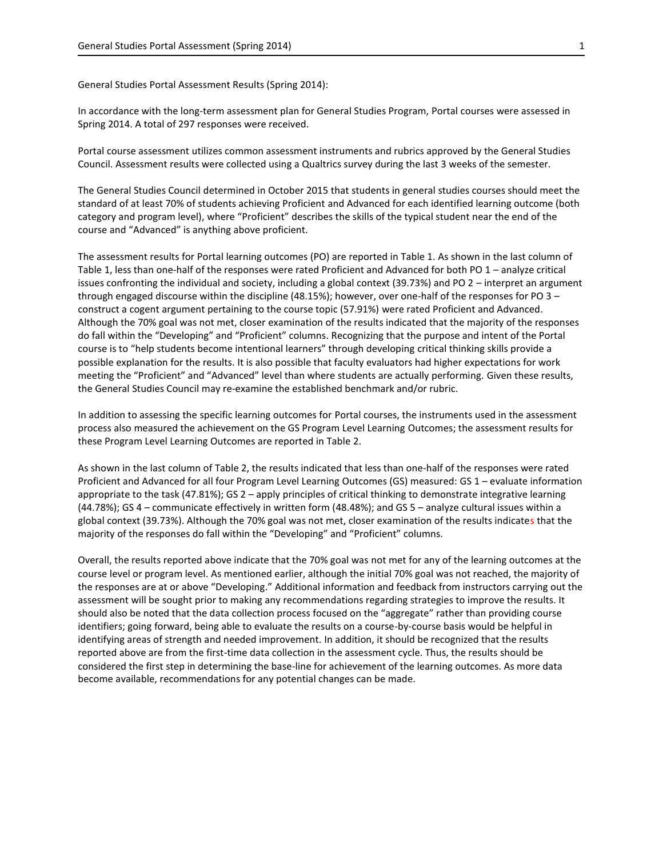General Studies Portal Assessment Results (Spring 2014):

In accordance with the long-term assessment plan for General Studies Program, Portal courses were assessed in Spring 2014. A total of 297 responses were received.

Portal course assessment utilizes common assessment instruments and rubrics approved by the General Studies Council. Assessment results were collected using a Qualtrics survey during the last 3 weeks of the semester.

The General Studies Council determined in October 2015 that students in general studies courses should meet the standard of at least 70% of students achieving Proficient and Advanced for each identified learning outcome (both category and program level), where "Proficient" describes the skills of the typical student near the end of the course and "Advanced" is anything above proficient.

The assessment results for Portal learning outcomes (PO) are reported in Table 1. As shown in the last column of Table 1, less than one-half of the responses were rated Proficient and Advanced for both PO 1 – analyze critical issues confronting the individual and society, including a global context (39.73%) and PO 2 – interpret an argument through engaged discourse within the discipline (48.15%); however, over one-half of the responses for PO 3 – construct a cogent argument pertaining to the course topic (57.91%) were rated Proficient and Advanced. Although the 70% goal was not met, closer examination of the results indicated that the majority of the responses do fall within the "Developing" and "Proficient" columns. Recognizing that the purpose and intent of the Portal course is to "help students become intentional learners" through developing critical thinking skills provide a possible explanation for the results. It is also possible that faculty evaluators had higher expectations for work meeting the "Proficient" and "Advanced" level than where students are actually performing. Given these results, the General Studies Council may re-examine the established benchmark and/or rubric.

In addition to assessing the specific learning outcomes for Portal courses, the instruments used in the assessment process also measured the achievement on the GS Program Level Learning Outcomes; the assessment results for these Program Level Learning Outcomes are reported in Table 2.

As shown in the last column of Table 2, the results indicated that less than one-half of the responses were rated Proficient and Advanced for all four Program Level Learning Outcomes (GS) measured: GS 1 – evaluate information appropriate to the task (47.81%); GS 2 – apply principles of critical thinking to demonstrate integrative learning (44.78%); GS 4 – communicate effectively in written form (48.48%); and GS 5 – analyze cultural issues within a global context (39.73%). Although the 70% goal was not met, closer examination of the results indicates that the majority of the responses do fall within the "Developing" and "Proficient" columns.

Overall, the results reported above indicate that the 70% goal was not met for any of the learning outcomes at the course level or program level. As mentioned earlier, although the initial 70% goal was not reached, the majority of the responses are at or above "Developing." Additional information and feedback from instructors carrying out the assessment will be sought prior to making any recommendations regarding strategies to improve the results. It should also be noted that the data collection process focused on the "aggregate" rather than providing course identifiers; going forward, being able to evaluate the results on a course-by-course basis would be helpful in identifying areas of strength and needed improvement. In addition, it should be recognized that the results reported above are from the first-time data collection in the assessment cycle. Thus, the results should be considered the first step in determining the base-line for achievement of the learning outcomes. As more data become available, recommendations for any potential changes can be made.